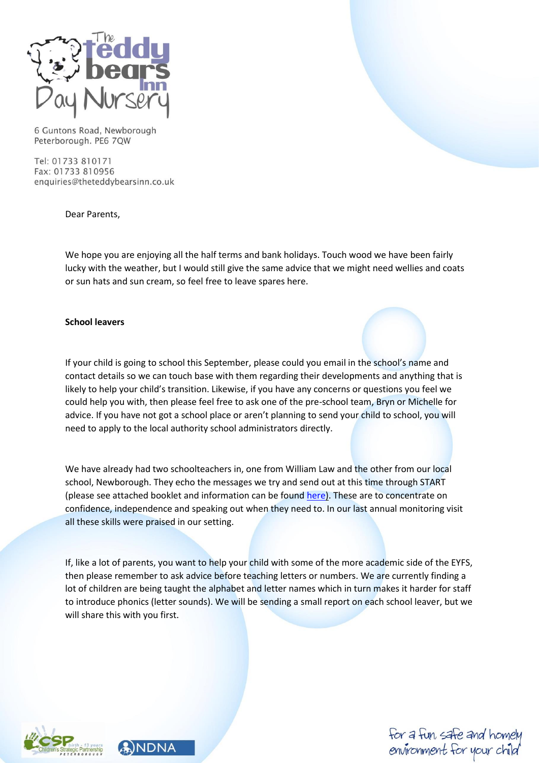

Tel: 01733 810171 Fax: 01733 810956 enquiries@theteddybearsinn.co.uk

Dear Parents,

We hope you are enjoying all the half terms and bank holidays. Touch wood we have been fairly lucky with the weather, but I would still give the same advice that we might need wellies and coats or sun hats and sun cream, so feel free to leave spares here.

## **School leavers**

If your child is going to school this September, please could you email in the school's name and contact details so we can touch base with them regarding their developments and anything that is likely to help your child's transition. Likewise, if you have any concerns or questions you feel we could help you with, then please feel free to ask one of the pre-school team, Bryn or Michelle for advice. If you have not got a school place or aren't planning to send your child to school, you will need to apply to the local authority school administrators directly.

We have already had two schoolteachers in, one from William Law and the other from our local school, Newborough. They echo the messages we try and send out at this time through START (please see attached booklet and information can be found [here\)](https://www.peterborough.gov.uk/residents/schools-and-education/school-readiness). These are to concentrate on confidence, independence and speaking out when they need to. In our last annual monitoring visit all these skills were praised in our setting.

If, like a lot of parents, you want to help your child with some of the more academic side of the EYFS, then please remember to ask advice before teaching letters or numbers. We are currently finding a lot of children are being taught the alphabet and letter names which in turn makes it harder for staff to introduce phonics (letter sounds). We will be sending a small report on each school leaver, but we will share this with you first.





for a fun, safe and homel environment for your child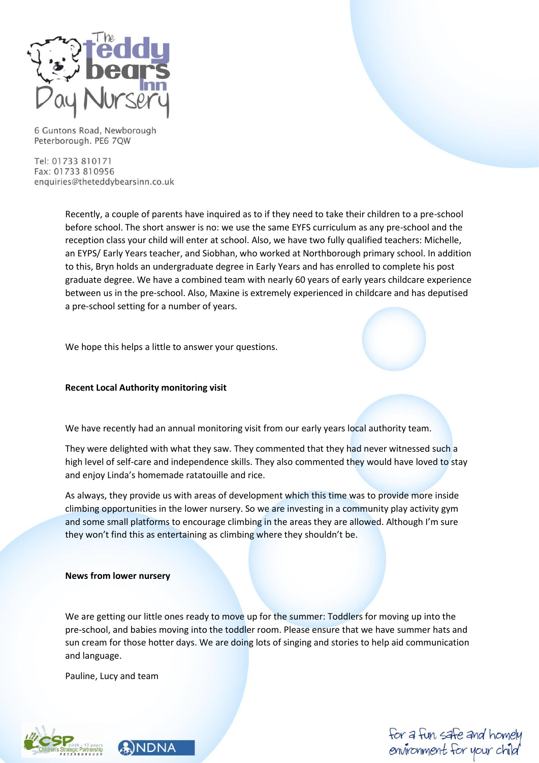

Tel: 01733 810171 Fax: 01733 810956 enquiries@theteddybearsinn.co.uk

> Recently, a couple of parents have inquired as to if they need to take their children to a pre-school before school. The short answer is no: we use the same EYFS curriculum as any pre-school and the reception class your child will enter at school. Also, we have two fully qualified teachers: Michelle, an EYPS/ Early Years teacher, and Siobhan, who worked at Northborough primary school. In addition to this, Bryn holds an undergraduate degree in Early Years and has enrolled to complete his post graduate degree. We have a combined team with nearly 60 years of early years childcare experience between us in the pre-school. Also, Maxine is extremely experienced in childcare and has deputised a pre-school setting for a number of years.

We hope this helps a little to answer your questions.

# **Recent Local Authority monitoring visit**

We have recently had an annual monitoring visit from our early years local authority team.

They were delighted with what they saw. They commented that they had never witnessed such a high level of self-care and independence skills. They also commented they would have loved to stay and enjoy Linda's homemade ratatouille and rice.

As always, they provide us with areas of development which this time was to provide more inside climbing opportunities in the lower nursery. So we are investing in a community play activity gym and some small platforms to encourage climbing in the areas they are allowed. Although I'm sure they won't find this as entertaining as climbing where they shouldn't be.

#### **News from lower nursery**

We are getting our little ones ready to move up for the summer: Toddlers for moving up into the pre-school, and babies moving into the toddler room. Please ensure that we have summer hats and sun cream for those hotter days. We are doing lots of singing and stories to help aid communication and language.

Pauline, Lucy and team





for a fun, safe and homel environment for your child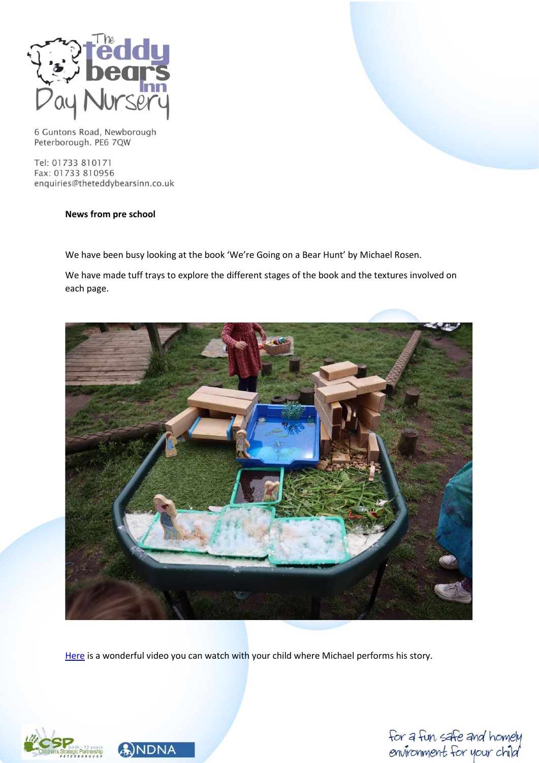

Tel: 01733 810171 Fax: 01733 810956 enquiries@theteddybearsinn.co.uk

# **News from pre school**

We have been busy looking at the book 'We're Going on a Bear Hunt' by Michael Rosen.

We have made tuff trays to explore the different stages of the book and the textures involved on each page.



[Here](https://www.youtube.com/watch?v=0gyI6ykDwds) is a wonderful video you can watch with your child where Michael performs his story.





for a fun, safe and homely<br>environment for your child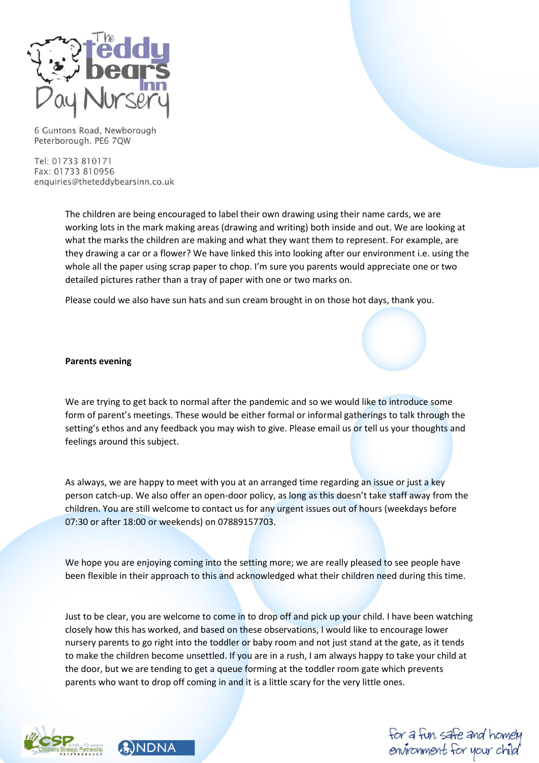

Tel: 01733 810171 Fax: 01733 810956 enquiries@theteddybearsinn.co.uk

> The children are being encouraged to label their own drawing using their name cards, we are working lots in the mark making areas (drawing and writing) both inside and out. We are looking at what the marks the children are making and what they want them to represent. For example, are they drawing a car or a flower? We have linked this into looking after our environment i.e. using the whole all the paper using scrap paper to chop. I'm sure you parents would appreciate one or two detailed pictures rather than a tray of paper with one or two marks on.

Please could we also have sun hats and sun cream brought in on those hot days, thank you.

## **Parents evening**

We are trying to get back to normal after the pandemic and so we would like to introduce some form of parent's meetings. These would be either formal or informal gatherings to talk through the setting's ethos and any feedback you may wish to give. Please email us or tell us your thoughts and feelings around this subject.

As always, we are happy to meet with you at an arranged time regarding an issue or just a key person catch-up. We also offer an open-door policy, as long as this doesn't take staff away from the children. You are still welcome to contact us for any urgent issues out of hours (weekdays before 07:30 or after 18:00 or weekends) on 07889157703.

We hope you are enjoying coming into the setting more; we are really pleased to see people have been flexible in their approach to this and acknowledged what their children need during this time.

Just to be clear, you are welcome to come in to drop off and pick up your child. I have been watching closely how this has worked, and based on these observations, I would like to encourage lower nursery parents to go right into the toddler or baby room and not just stand at the gate, as it tends to make the children become unsettled. If you are in a rush, I am always happy to take your child at the door, but we are tending to get a queue forming at the toddler room gate which prevents parents who want to drop off coming in and it is a little scary for the very little ones.





for a fun, safe and home environment for your child